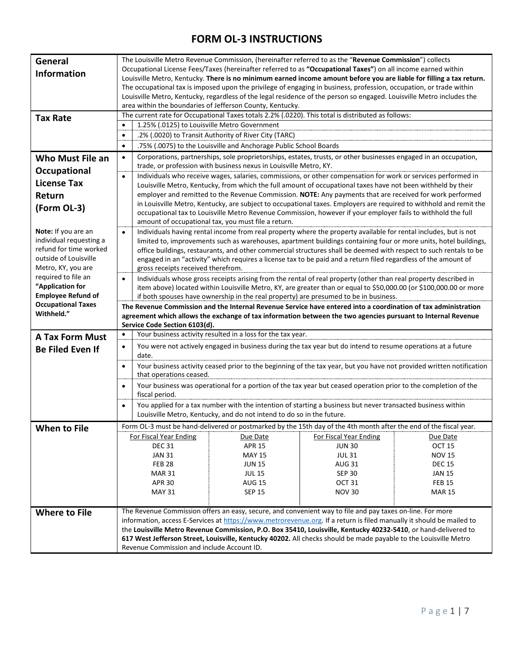| General                                                | The Louisville Metro Revenue Commission, (hereinafter referred to as the "Revenue Commission") collects                                                                                                |                                                                                                                                                                                                    |                                                                       |                                                                                                                      |               |  |  |
|--------------------------------------------------------|--------------------------------------------------------------------------------------------------------------------------------------------------------------------------------------------------------|----------------------------------------------------------------------------------------------------------------------------------------------------------------------------------------------------|-----------------------------------------------------------------------|----------------------------------------------------------------------------------------------------------------------|---------------|--|--|
| <b>Information</b>                                     | Occupational License Fees/Taxes (hereinafter referred to as "Occupational Taxes") on all income earned within                                                                                          |                                                                                                                                                                                                    |                                                                       |                                                                                                                      |               |  |  |
|                                                        | Louisville Metro, Kentucky. There is no minimum earned income amount before you are liable for filling a tax return.                                                                                   |                                                                                                                                                                                                    |                                                                       |                                                                                                                      |               |  |  |
|                                                        | The occupational tax is imposed upon the privilege of engaging in business, profession, occupation, or trade within                                                                                    |                                                                                                                                                                                                    |                                                                       |                                                                                                                      |               |  |  |
|                                                        | Louisville Metro, Kentucky, regardless of the legal residence of the person so engaged. Louisville Metro includes the                                                                                  |                                                                                                                                                                                                    |                                                                       |                                                                                                                      |               |  |  |
|                                                        |                                                                                                                                                                                                        | area within the boundaries of Jefferson County, Kentucky.                                                                                                                                          |                                                                       |                                                                                                                      |               |  |  |
| <b>Tax Rate</b>                                        |                                                                                                                                                                                                        | The current rate for Occupational Taxes totals 2.2% (.0220). This total is distributed as follows:                                                                                                 |                                                                       |                                                                                                                      |               |  |  |
|                                                        |                                                                                                                                                                                                        | 1.25% (.0125) to Louisville Metro Government<br>$\bullet$                                                                                                                                          |                                                                       |                                                                                                                      |               |  |  |
|                                                        |                                                                                                                                                                                                        | .2% (.0020) to Transit Authority of River City (TARC)<br>$\bullet$                                                                                                                                 |                                                                       |                                                                                                                      |               |  |  |
|                                                        | $\bullet$                                                                                                                                                                                              | .75% (.0075) to the Louisville and Anchorage Public School Boards                                                                                                                                  |                                                                       |                                                                                                                      |               |  |  |
| <b>Who Must File an</b>                                |                                                                                                                                                                                                        | Corporations, partnerships, sole proprietorships, estates, trusts, or other businesses engaged in an occupation,<br>$\bullet$<br>trade, or profession with business nexus in Louisville Metro, KY. |                                                                       |                                                                                                                      |               |  |  |
| Occupational                                           | $\bullet$                                                                                                                                                                                              | Individuals who receive wages, salaries, commissions, or other compensation for work or services performed in                                                                                      |                                                                       |                                                                                                                      |               |  |  |
| <b>License Tax</b>                                     |                                                                                                                                                                                                        | Louisville Metro, Kentucky, from which the full amount of occupational taxes have not been withheld by their                                                                                       |                                                                       |                                                                                                                      |               |  |  |
| Return                                                 |                                                                                                                                                                                                        |                                                                                                                                                                                                    |                                                                       | employer and remitted to the Revenue Commission. NOTE: Any payments that are received for work performed             |               |  |  |
| (Form OL-3)                                            |                                                                                                                                                                                                        |                                                                                                                                                                                                    |                                                                       | in Louisville Metro, Kentucky, are subject to occupational taxes. Employers are required to withhold and remit the   |               |  |  |
|                                                        |                                                                                                                                                                                                        |                                                                                                                                                                                                    |                                                                       | occupational tax to Louisville Metro Revenue Commission, however if your employer fails to withhold the full         |               |  |  |
|                                                        |                                                                                                                                                                                                        |                                                                                                                                                                                                    | amount of occupational tax, you must file a return.                   |                                                                                                                      |               |  |  |
| Note: If you are an                                    | $\bullet$                                                                                                                                                                                              |                                                                                                                                                                                                    |                                                                       | Individuals having rental income from real property where the property available for rental includes, but is not     |               |  |  |
| individual requesting a                                |                                                                                                                                                                                                        |                                                                                                                                                                                                    |                                                                       | limited to, improvements such as warehouses, apartment buildings containing four or more units, hotel buildings,     |               |  |  |
| refund for time worked                                 |                                                                                                                                                                                                        |                                                                                                                                                                                                    |                                                                       | office buildings, restaurants, and other commercial structures shall be deemed with respect to such rentals to be    |               |  |  |
| outside of Louisville                                  |                                                                                                                                                                                                        |                                                                                                                                                                                                    |                                                                       | engaged in an "activity" which requires a license tax to be paid and a return filed regardless of the amount of      |               |  |  |
| Metro, KY, you are                                     |                                                                                                                                                                                                        | gross receipts received therefrom.                                                                                                                                                                 |                                                                       |                                                                                                                      |               |  |  |
| required to file an                                    |                                                                                                                                                                                                        |                                                                                                                                                                                                    |                                                                       | Individuals whose gross receipts arising from the rental of real property (other than real property described in     |               |  |  |
| "Application for                                       |                                                                                                                                                                                                        |                                                                                                                                                                                                    |                                                                       | item above) located within Louisville Metro, KY, are greater than or equal to \$50,000.00 (or \$100,000.00 or more   |               |  |  |
| <b>Employee Refund of</b><br><b>Occupational Taxes</b> | if both spouses have ownership in the real property) are presumed to be in business.<br>The Revenue Commission and the Internal Revenue Service have entered into a coordination of tax administration |                                                                                                                                                                                                    |                                                                       |                                                                                                                      |               |  |  |
|                                                        |                                                                                                                                                                                                        |                                                                                                                                                                                                    |                                                                       |                                                                                                                      |               |  |  |
|                                                        |                                                                                                                                                                                                        |                                                                                                                                                                                                    |                                                                       |                                                                                                                      |               |  |  |
| Withheld."                                             |                                                                                                                                                                                                        |                                                                                                                                                                                                    |                                                                       | agreement which allows the exchange of tax information between the two agencies pursuant to Internal Revenue         |               |  |  |
|                                                        | $\bullet$                                                                                                                                                                                              | Service Code Section 6103(d).                                                                                                                                                                      |                                                                       |                                                                                                                      |               |  |  |
| <b>A Tax Form Must</b>                                 |                                                                                                                                                                                                        |                                                                                                                                                                                                    | Your business activity resulted in a loss for the tax year.           |                                                                                                                      |               |  |  |
| <b>Be Filed Even If</b>                                | $\bullet$                                                                                                                                                                                              | date.                                                                                                                                                                                              |                                                                       | You were not actively engaged in business during the tax year but do intend to resume operations at a future         |               |  |  |
|                                                        | $\bullet$                                                                                                                                                                                              |                                                                                                                                                                                                    |                                                                       |                                                                                                                      |               |  |  |
|                                                        |                                                                                                                                                                                                        | that operations ceased.                                                                                                                                                                            |                                                                       | Your business activity ceased prior to the beginning of the tax year, but you have not provided written notification |               |  |  |
|                                                        | $\bullet$                                                                                                                                                                                              |                                                                                                                                                                                                    |                                                                       | Your business was operational for a portion of the tax year but ceased operation prior to the completion of the      |               |  |  |
|                                                        |                                                                                                                                                                                                        | fiscal period.                                                                                                                                                                                     |                                                                       |                                                                                                                      |               |  |  |
|                                                        | $\bullet$                                                                                                                                                                                              |                                                                                                                                                                                                    |                                                                       | You applied for a tax number with the intention of starting a business but never transacted business within          |               |  |  |
|                                                        |                                                                                                                                                                                                        |                                                                                                                                                                                                    | Louisville Metro, Kentucky, and do not intend to do so in the future. |                                                                                                                      |               |  |  |
| When to File                                           |                                                                                                                                                                                                        |                                                                                                                                                                                                    |                                                                       | Form OL-3 must be hand-delivered or postmarked by the 15th day of the 4th month after the end of the fiscal year.    |               |  |  |
|                                                        |                                                                                                                                                                                                        | <b>For Fiscal Year Ending</b>                                                                                                                                                                      | Due Date                                                              | For Fiscal Year Ending                                                                                               | Due Date      |  |  |
|                                                        |                                                                                                                                                                                                        | <b>DEC 31</b>                                                                                                                                                                                      | <b>APR 15</b>                                                         | <b>JUN 30</b>                                                                                                        | <b>OCT 15</b> |  |  |
|                                                        |                                                                                                                                                                                                        | <b>JAN 31</b>                                                                                                                                                                                      | <b>MAY 15</b>                                                         | <b>JUL 31</b>                                                                                                        | <b>NOV 15</b> |  |  |
|                                                        |                                                                                                                                                                                                        | <b>FEB 28</b>                                                                                                                                                                                      | <b>JUN 15</b>                                                         | <b>AUG 31</b>                                                                                                        | <b>DEC 15</b> |  |  |
|                                                        |                                                                                                                                                                                                        | <b>MAR 31</b>                                                                                                                                                                                      | <b>JUL 15</b>                                                         | <b>SEP 30</b>                                                                                                        | <b>JAN 15</b> |  |  |
|                                                        |                                                                                                                                                                                                        | <b>APR 30</b>                                                                                                                                                                                      | <b>AUG 15</b>                                                         | OCT <sub>31</sub>                                                                                                    | <b>FEB 15</b> |  |  |
|                                                        |                                                                                                                                                                                                        | <b>MAY 31</b>                                                                                                                                                                                      | <b>SEP 15</b>                                                         | <b>NOV 30</b>                                                                                                        | <b>MAR 15</b> |  |  |
|                                                        |                                                                                                                                                                                                        |                                                                                                                                                                                                    |                                                                       |                                                                                                                      |               |  |  |
| <b>Where to File</b>                                   |                                                                                                                                                                                                        |                                                                                                                                                                                                    |                                                                       | The Revenue Commission offers an easy, secure, and convenient way to file and pay taxes on-line. For more            |               |  |  |
|                                                        |                                                                                                                                                                                                        |                                                                                                                                                                                                    |                                                                       | information, access E-Services at https://www.metrorevenue.org. If a return is filed manually it should be mailed to |               |  |  |
|                                                        |                                                                                                                                                                                                        |                                                                                                                                                                                                    |                                                                       | the Louisville Metro Revenue Commission, P.O. Box 35410, Louisville, Kentucky 40232-5410, or hand-delivered to       |               |  |  |
|                                                        |                                                                                                                                                                                                        | Revenue Commission and include Account ID.                                                                                                                                                         |                                                                       | 617 West Jefferson Street, Louisville, Kentucky 40202. All checks should be made payable to the Louisville Metro     |               |  |  |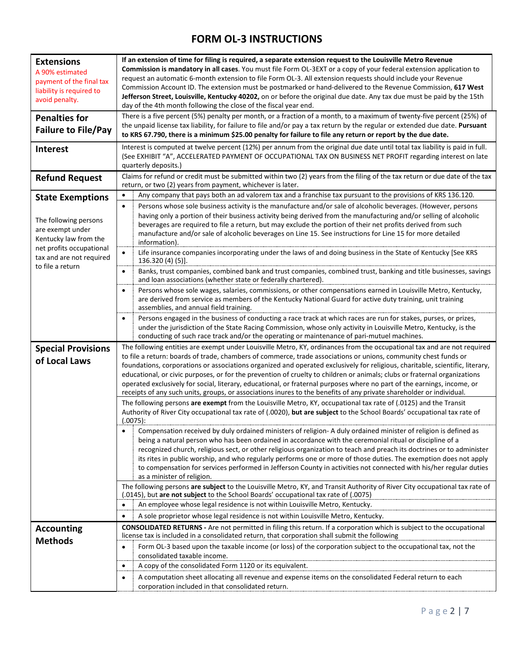| <b>Extensions</b><br>A 90% estimated<br>payment of the final tax<br>liability is required to<br>avoid penalty.<br><b>Penalties for</b> | If an extension of time for filing is required, a separate extension request to the Louisville Metro Revenue<br>Commission is mandatory in all cases. You must file Form OL-3EXT or a copy of your federal extension application to<br>request an automatic 6-month extension to file Form OL-3. All extension requests should include your Revenue<br>Commission Account ID. The extension must be postmarked or hand-delivered to the Revenue Commission, 617 West<br>Jefferson Street, Louisville, Kentucky 40202, on or before the original due date. Any tax due must be paid by the 15th<br>day of the 4th month following the close of the fiscal year end.<br>There is a five percent (5%) penalty per month, or a fraction of a month, to a maximum of twenty-five percent (25%) of |  |  |  |
|----------------------------------------------------------------------------------------------------------------------------------------|----------------------------------------------------------------------------------------------------------------------------------------------------------------------------------------------------------------------------------------------------------------------------------------------------------------------------------------------------------------------------------------------------------------------------------------------------------------------------------------------------------------------------------------------------------------------------------------------------------------------------------------------------------------------------------------------------------------------------------------------------------------------------------------------|--|--|--|
| <b>Failure to File/Pay</b>                                                                                                             | the unpaid license tax liability, for failure to file and/or pay a tax return by the regular or extended due date. Pursuant<br>to KRS 67.790, there is a minimum \$25.00 penalty for failure to file any return or report by the due date.                                                                                                                                                                                                                                                                                                                                                                                                                                                                                                                                                   |  |  |  |
| Interest                                                                                                                               | Interest is computed at twelve percent (12%) per annum from the original due date until total tax liability is paid in full.<br>(See EXHIBIT "A", ACCELERATED PAYMENT OF OCCUPATIONAL TAX ON BUSINESS NET PROFIT regarding interest on late<br>quarterly deposits.)                                                                                                                                                                                                                                                                                                                                                                                                                                                                                                                          |  |  |  |
| <b>Refund Request</b>                                                                                                                  | Claims for refund or credit must be submitted within two (2) years from the filing of the tax return or due date of the tax<br>return, or two (2) years from payment, whichever is later.                                                                                                                                                                                                                                                                                                                                                                                                                                                                                                                                                                                                    |  |  |  |
| <b>State Exemptions</b>                                                                                                                | Any company that pays both an ad valorem tax and a franchise tax pursuant to the provisions of KRS 136.120.<br>$\bullet$                                                                                                                                                                                                                                                                                                                                                                                                                                                                                                                                                                                                                                                                     |  |  |  |
| The following persons<br>are exempt under<br>Kentucky law from the                                                                     | Persons whose sole business activity is the manufacture and/or sale of alcoholic beverages. (However, persons<br>$\bullet$<br>having only a portion of their business activity being derived from the manufacturing and/or selling of alcoholic<br>beverages are required to file a return, but may exclude the portion of their net profits derived from such<br>manufacture and/or sale of alcoholic beverages on Line 15. See instructions for Line 15 for more detailed<br>information).                                                                                                                                                                                                                                                                                                 |  |  |  |
| net profits occupational<br>tax and are not required<br>to file a return                                                               | $\bullet$<br>Life insurance companies incorporating under the laws of and doing business in the State of Kentucky [See KRS<br>136.320 (4) (5)].                                                                                                                                                                                                                                                                                                                                                                                                                                                                                                                                                                                                                                              |  |  |  |
|                                                                                                                                        | Banks, trust companies, combined bank and trust companies, combined trust, banking and title businesses, savings<br>$\bullet$<br>and loan associations (whether state or federally chartered).                                                                                                                                                                                                                                                                                                                                                                                                                                                                                                                                                                                               |  |  |  |
|                                                                                                                                        | Persons whose sole wages, salaries, commissions, or other compensations earned in Louisville Metro, Kentucky,<br>$\bullet$<br>are derived from service as members of the Kentucky National Guard for active duty training, unit training<br>assemblies, and annual field training.                                                                                                                                                                                                                                                                                                                                                                                                                                                                                                           |  |  |  |
|                                                                                                                                        | Persons engaged in the business of conducting a race track at which races are run for stakes, purses, or prizes,<br>$\bullet$<br>under the jurisdiction of the State Racing Commission, whose only activity in Louisville Metro, Kentucky, is the<br>conducting of such race track and/or the operating or maintenance of pari-mutuel machines.                                                                                                                                                                                                                                                                                                                                                                                                                                              |  |  |  |
| <b>Special Provisions</b>                                                                                                              | The following entities are exempt under Louisville Metro, KY, ordinances from the occupational tax and are not required                                                                                                                                                                                                                                                                                                                                                                                                                                                                                                                                                                                                                                                                      |  |  |  |
| of Local Laws                                                                                                                          | to file a return: boards of trade, chambers of commerce, trade associations or unions, community chest funds or<br>foundations, corporations or associations organized and operated exclusively for religious, charitable, scientific, literary,                                                                                                                                                                                                                                                                                                                                                                                                                                                                                                                                             |  |  |  |
|                                                                                                                                        | educational, or civic purposes, or for the prevention of cruelty to children or animals; clubs or fraternal organizations<br>operated exclusively for social, literary, educational, or fraternal purposes where no part of the earnings, income, or<br>receipts of any such units, groups, or associations inures to the benefits of any private shareholder or individual.                                                                                                                                                                                                                                                                                                                                                                                                                 |  |  |  |
|                                                                                                                                        | The following persons are exempt from the Louisville Metro, KY, occupational tax rate of (.0125) and the Transit<br>Authority of River City occupational tax rate of (.0020), but are subject to the School Boards' occupational tax rate of<br>(.0075):                                                                                                                                                                                                                                                                                                                                                                                                                                                                                                                                     |  |  |  |
|                                                                                                                                        | Compensation received by duly ordained ministers of religion- A duly ordained minister of religion is defined as<br>being a natural person who has been ordained in accordance with the ceremonial ritual or discipline of a<br>recognized church, religious sect, or other religious organization to teach and preach its doctrines or to administer<br>its rites in public worship, and who regularly performs one or more of those duties. The exemption does not apply<br>to compensation for services performed in Jefferson County in activities not connected with his/her regular duties<br>as a minister of religion.                                                                                                                                                               |  |  |  |
|                                                                                                                                        | The following persons are subject to the Louisville Metro, KY, and Transit Authority of River City occupational tax rate of<br>(.0145), but are not subject to the School Boards' occupational tax rate of (.0075)                                                                                                                                                                                                                                                                                                                                                                                                                                                                                                                                                                           |  |  |  |
|                                                                                                                                        | An employee whose legal residence is not within Louisville Metro, Kentucky.<br>$\bullet$                                                                                                                                                                                                                                                                                                                                                                                                                                                                                                                                                                                                                                                                                                     |  |  |  |
|                                                                                                                                        | A sole proprietor whose legal residence is not within Louisville Metro, Kentucky.<br>$\bullet$                                                                                                                                                                                                                                                                                                                                                                                                                                                                                                                                                                                                                                                                                               |  |  |  |
| <b>Accounting</b><br><b>Methods</b>                                                                                                    | <b>CONSOLIDATED RETURNS</b> - Are not permitted in filing this return. If a corporation which is subject to the occupational<br>license tax is included in a consolidated return, that corporation shall submit the following                                                                                                                                                                                                                                                                                                                                                                                                                                                                                                                                                                |  |  |  |
|                                                                                                                                        | Form OL-3 based upon the taxable income (or loss) of the corporation subject to the occupational tax, not the<br>$\bullet$<br>consolidated taxable income.                                                                                                                                                                                                                                                                                                                                                                                                                                                                                                                                                                                                                                   |  |  |  |
|                                                                                                                                        | A copy of the consolidated Form 1120 or its equivalent.<br>$\bullet$                                                                                                                                                                                                                                                                                                                                                                                                                                                                                                                                                                                                                                                                                                                         |  |  |  |
|                                                                                                                                        | A computation sheet allocating all revenue and expense items on the consolidated Federal return to each<br>$\bullet$<br>corporation included in that consolidated return.                                                                                                                                                                                                                                                                                                                                                                                                                                                                                                                                                                                                                    |  |  |  |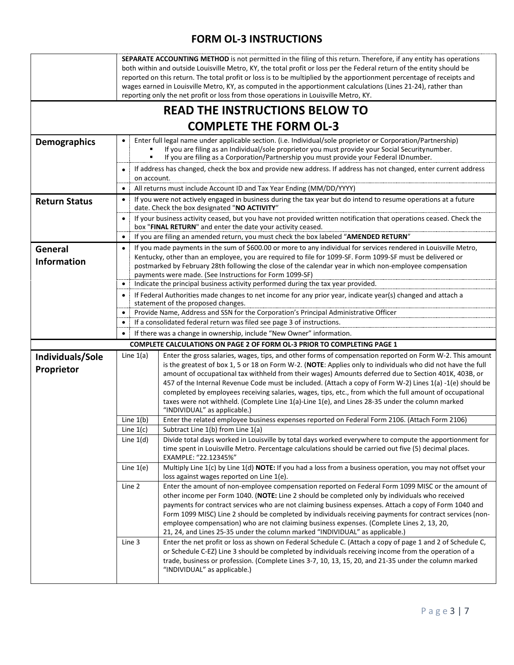|                                | SEPARATE ACCOUNTING METHOD is not permitted in the filing of this return. Therefore, if any entity has operations<br>both within and outside Louisville Metro, KY, the total profit or loss per the Federal return of the entity should be<br>reported on this return. The total profit or loss is to be multiplied by the apportionment percentage of receipts and<br>wages earned in Louisville Metro, KY, as computed in the apportionment calculations (Lines 21-24), rather than<br>reporting only the net profit or loss from those operations in Louisville Metro, KY. |                                                                                                                                                                                                                                                                                                                                                                                                                                                                                                                                                                                                                                                                                             |  |  |  |  |
|--------------------------------|-------------------------------------------------------------------------------------------------------------------------------------------------------------------------------------------------------------------------------------------------------------------------------------------------------------------------------------------------------------------------------------------------------------------------------------------------------------------------------------------------------------------------------------------------------------------------------|---------------------------------------------------------------------------------------------------------------------------------------------------------------------------------------------------------------------------------------------------------------------------------------------------------------------------------------------------------------------------------------------------------------------------------------------------------------------------------------------------------------------------------------------------------------------------------------------------------------------------------------------------------------------------------------------|--|--|--|--|
|                                |                                                                                                                                                                                                                                                                                                                                                                                                                                                                                                                                                                               | <b>READ THE INSTRUCTIONS BELOW TO</b>                                                                                                                                                                                                                                                                                                                                                                                                                                                                                                                                                                                                                                                       |  |  |  |  |
|                                |                                                                                                                                                                                                                                                                                                                                                                                                                                                                                                                                                                               | <b>COMPLETE THE FORM OL-3</b>                                                                                                                                                                                                                                                                                                                                                                                                                                                                                                                                                                                                                                                               |  |  |  |  |
| <b>Demographics</b>            | Enter full legal name under applicable section. (i.e. Individual/sole proprietor or Corporation/Partnership)<br>If you are filing as an Individual/sole proprietor you must provide your Social Securitynumber.<br>If you are filing as a Corporation/Partnership you must provide your Federal IDnumber.                                                                                                                                                                                                                                                                     |                                                                                                                                                                                                                                                                                                                                                                                                                                                                                                                                                                                                                                                                                             |  |  |  |  |
|                                |                                                                                                                                                                                                                                                                                                                                                                                                                                                                                                                                                                               | If address has changed, check the box and provide new address. If address has not changed, enter current address<br>on account.                                                                                                                                                                                                                                                                                                                                                                                                                                                                                                                                                             |  |  |  |  |
| <b>Return Status</b>           | ٠<br>$\bullet$                                                                                                                                                                                                                                                                                                                                                                                                                                                                                                                                                                | All returns must include Account ID and Tax Year Ending (MM/DD/YYYY)<br>If you were not actively engaged in business during the tax year but do intend to resume operations at a future                                                                                                                                                                                                                                                                                                                                                                                                                                                                                                     |  |  |  |  |
|                                | $\bullet$                                                                                                                                                                                                                                                                                                                                                                                                                                                                                                                                                                     | date. Check the box designated "NO ACTIVITY"<br>If your business activity ceased, but you have not provided written notification that operations ceased. Check the<br>box "FINAL RETURN" and enter the date your activity ceased.                                                                                                                                                                                                                                                                                                                                                                                                                                                           |  |  |  |  |
|                                | $\bullet$                                                                                                                                                                                                                                                                                                                                                                                                                                                                                                                                                                     | If you are filing an amended return, you must check the box labeled "AMENDED RETURN"                                                                                                                                                                                                                                                                                                                                                                                                                                                                                                                                                                                                        |  |  |  |  |
| General<br><b>Information</b>  | If you made payments in the sum of \$600.00 or more to any individual for services rendered in Louisville Metro,<br>$\bullet$<br>Kentucky, other than an employee, you are required to file for 1099-SF. Form 1099-SF must be delivered or<br>postmarked by February 28th following the close of the calendar year in which non-employee compensation<br>payments were made. (See Instructions for Form 1099-SF)                                                                                                                                                              |                                                                                                                                                                                                                                                                                                                                                                                                                                                                                                                                                                                                                                                                                             |  |  |  |  |
|                                | $\bullet$                                                                                                                                                                                                                                                                                                                                                                                                                                                                                                                                                                     | Indicate the principal business activity performed during the tax year provided.                                                                                                                                                                                                                                                                                                                                                                                                                                                                                                                                                                                                            |  |  |  |  |
|                                |                                                                                                                                                                                                                                                                                                                                                                                                                                                                                                                                                                               | If Federal Authorities made changes to net income for any prior year, indicate year(s) changed and attach a                                                                                                                                                                                                                                                                                                                                                                                                                                                                                                                                                                                 |  |  |  |  |
|                                |                                                                                                                                                                                                                                                                                                                                                                                                                                                                                                                                                                               | statement of the proposed changes.                                                                                                                                                                                                                                                                                                                                                                                                                                                                                                                                                                                                                                                          |  |  |  |  |
|                                | Provide Name, Address and SSN for the Corporation's Principal Administrative Officer<br>If a consolidated federal return was filed see page 3 of instructions.<br>If there was a change in ownership, include "New Owner" information.                                                                                                                                                                                                                                                                                                                                        |                                                                                                                                                                                                                                                                                                                                                                                                                                                                                                                                                                                                                                                                                             |  |  |  |  |
|                                |                                                                                                                                                                                                                                                                                                                                                                                                                                                                                                                                                                               |                                                                                                                                                                                                                                                                                                                                                                                                                                                                                                                                                                                                                                                                                             |  |  |  |  |
|                                |                                                                                                                                                                                                                                                                                                                                                                                                                                                                                                                                                                               |                                                                                                                                                                                                                                                                                                                                                                                                                                                                                                                                                                                                                                                                                             |  |  |  |  |
|                                |                                                                                                                                                                                                                                                                                                                                                                                                                                                                                                                                                                               | <b>COMPLETE CALCULATIONS ON PAGE 2 OF FORM OL-3 PRIOR TO COMPLETING PAGE 1</b>                                                                                                                                                                                                                                                                                                                                                                                                                                                                                                                                                                                                              |  |  |  |  |
| Individuals/Sole<br>Proprietor | Line $1(a)$                                                                                                                                                                                                                                                                                                                                                                                                                                                                                                                                                                   | Enter the gross salaries, wages, tips, and other forms of compensation reported on Form W-2. This amount<br>is the greatest of box 1, 5 or 18 on Form W-2. (NOTE: Applies only to individuals who did not have the full<br>amount of occupational tax withheld from their wages) Amounts deferred due to Section 401K, 403B, or<br>457 of the Internal Revenue Code must be included. (Attach a copy of Form W-2) Lines 1(a) -1(e) should be<br>completed by employees receiving salaries, wages, tips, etc., from which the full amount of occupational<br>taxes were not withheld. (Complete Line 1(a)-Line 1(e), and Lines 28-35 under the column marked<br>"INDIVIDUAL" as applicable.) |  |  |  |  |
|                                | Line $1(b)$                                                                                                                                                                                                                                                                                                                                                                                                                                                                                                                                                                   | Enter the related employee business expenses reported on Federal Form 2106. (Attach Form 2106)                                                                                                                                                                                                                                                                                                                                                                                                                                                                                                                                                                                              |  |  |  |  |
|                                | Line $1(c)$                                                                                                                                                                                                                                                                                                                                                                                                                                                                                                                                                                   | Subtract Line 1(b) from Line 1(a)                                                                                                                                                                                                                                                                                                                                                                                                                                                                                                                                                                                                                                                           |  |  |  |  |
|                                | Line $1(d)$                                                                                                                                                                                                                                                                                                                                                                                                                                                                                                                                                                   | Divide total days worked in Louisville by total days worked everywhere to compute the apportionment for<br>time spent in Louisville Metro. Percentage calculations should be carried out five (5) decimal places.<br>EXAMPLE: "22.12345%"                                                                                                                                                                                                                                                                                                                                                                                                                                                   |  |  |  |  |
|                                | Line $1(e)$                                                                                                                                                                                                                                                                                                                                                                                                                                                                                                                                                                   | Multiply Line 1(c) by Line 1(d) NOTE: If you had a loss from a business operation, you may not offset your<br>loss against wages reported on Line 1(e).                                                                                                                                                                                                                                                                                                                                                                                                                                                                                                                                     |  |  |  |  |
|                                | Line 2                                                                                                                                                                                                                                                                                                                                                                                                                                                                                                                                                                        | Enter the amount of non-employee compensation reported on Federal Form 1099 MISC or the amount of<br>other income per Form 1040. (NOTE: Line 2 should be completed only by individuals who received<br>payments for contract services who are not claiming business expenses. Attach a copy of Form 1040 and<br>Form 1099 MISC) Line 2 should be completed by individuals receiving payments for contract services (non-<br>employee compensation) who are not claiming business expenses. (Complete Lines 2, 13, 20,<br>21, 24, and Lines 25-35 under the column marked "INDIVIDUAL" as applicable.)                                                                                       |  |  |  |  |
|                                | Line 3                                                                                                                                                                                                                                                                                                                                                                                                                                                                                                                                                                        | Enter the net profit or loss as shown on Federal Schedule C. (Attach a copy of page 1 and 2 of Schedule C,<br>or Schedule C-EZ) Line 3 should be completed by individuals receiving income from the operation of a<br>trade, business or profession. (Complete Lines 3-7, 10, 13, 15, 20, and 21-35 under the column marked<br>"INDIVIDUAL" as applicable.)                                                                                                                                                                                                                                                                                                                                 |  |  |  |  |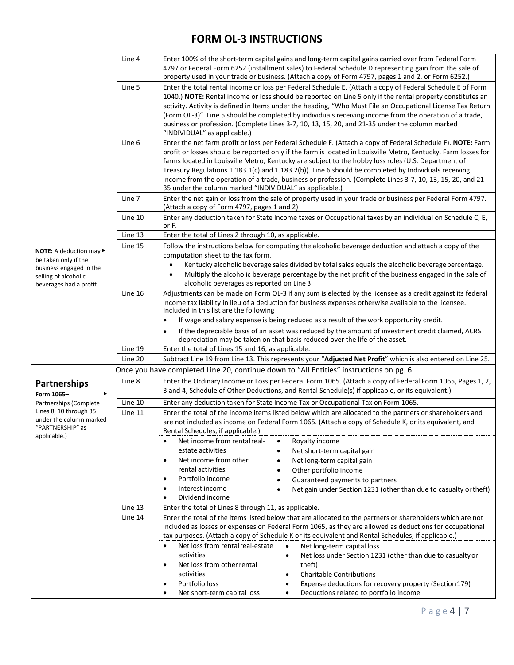|                                                 | Line 4                                                                                                                | Enter 100% of the short-term capital gains and long-term capital gains carried over from Federal Form<br>4797 or Federal Form 6252 (installment sales) to Federal Schedule D representing gain from the sale of<br>property used in your trade or business. (Attach a copy of Form 4797, pages 1 and 2, or Form 6252.)                                                                                                                                                                                                                               |  |  |  |  |  |
|-------------------------------------------------|-----------------------------------------------------------------------------------------------------------------------|------------------------------------------------------------------------------------------------------------------------------------------------------------------------------------------------------------------------------------------------------------------------------------------------------------------------------------------------------------------------------------------------------------------------------------------------------------------------------------------------------------------------------------------------------|--|--|--|--|--|
|                                                 | Line 5                                                                                                                | Enter the total rental income or loss per Federal Schedule E. (Attach a copy of Federal Schedule E of Form<br>1040.) NOTE: Rental income or loss should be reported on Line 5 only if the rental property constitutes an<br>activity. Activity is defined in Items under the heading, "Who Must File an Occupational License Tax Return<br>(Form OL-3)". Line 5 should be completed by individuals receiving income from the operation of a trade,<br>business or profession. (Complete Lines 3-7, 10, 13, 15, 20, and 21-35 under the column marked |  |  |  |  |  |
|                                                 |                                                                                                                       | "INDIVIDUAL" as applicable.)                                                                                                                                                                                                                                                                                                                                                                                                                                                                                                                         |  |  |  |  |  |
|                                                 | Line 6                                                                                                                | Enter the net farm profit or loss per Federal Schedule F. (Attach a copy of Federal Schedule F). NOTE: Farm<br>profit or losses should be reported only if the farm is located in Louisville Metro, Kentucky. Farm losses for                                                                                                                                                                                                                                                                                                                        |  |  |  |  |  |
|                                                 |                                                                                                                       | farms located in Louisville Metro, Kentucky are subject to the hobby loss rules (U.S. Department of                                                                                                                                                                                                                                                                                                                                                                                                                                                  |  |  |  |  |  |
|                                                 |                                                                                                                       | Treasury Regulations 1.183.1(c) and 1.183.2(b)). Line 6 should be completed by Individuals receiving                                                                                                                                                                                                                                                                                                                                                                                                                                                 |  |  |  |  |  |
|                                                 |                                                                                                                       | income from the operation of a trade, business or profession. (Complete Lines 3-7, 10, 13, 15, 20, and 21-<br>35 under the column marked "INDIVIDUAL" as applicable.)                                                                                                                                                                                                                                                                                                                                                                                |  |  |  |  |  |
|                                                 | Line 7                                                                                                                | Enter the net gain or loss from the sale of property used in your trade or business per Federal Form 4797.<br>(Attach a copy of Form 4797, pages 1 and 2)                                                                                                                                                                                                                                                                                                                                                                                            |  |  |  |  |  |
|                                                 | Line 10                                                                                                               | Enter any deduction taken for State Income taxes or Occupational taxes by an individual on Schedule C, E,<br>or F.                                                                                                                                                                                                                                                                                                                                                                                                                                   |  |  |  |  |  |
|                                                 | Line 13                                                                                                               | Enter the total of Lines 2 through 10, as applicable.                                                                                                                                                                                                                                                                                                                                                                                                                                                                                                |  |  |  |  |  |
| NOTE: A deduction may ▶                         | Line 15                                                                                                               | Follow the instructions below for computing the alcoholic beverage deduction and attach a copy of the                                                                                                                                                                                                                                                                                                                                                                                                                                                |  |  |  |  |  |
| be taken only if the                            |                                                                                                                       | computation sheet to the tax form.                                                                                                                                                                                                                                                                                                                                                                                                                                                                                                                   |  |  |  |  |  |
| business engaged in the                         |                                                                                                                       | Kentucky alcoholic beverage sales divided by total sales equals the alcoholic beverage percentage.                                                                                                                                                                                                                                                                                                                                                                                                                                                   |  |  |  |  |  |
| selling of alcoholic<br>beverages had a profit. |                                                                                                                       | Multiply the alcoholic beverage percentage by the net profit of the business engaged in the sale of<br>alcoholic beverages as reported on Line 3.                                                                                                                                                                                                                                                                                                                                                                                                    |  |  |  |  |  |
|                                                 | Line 16<br>Adjustments can be made on Form OL-3 if any sum is elected by the licensee as a credit against its federal |                                                                                                                                                                                                                                                                                                                                                                                                                                                                                                                                                      |  |  |  |  |  |
|                                                 |                                                                                                                       | income tax liability in lieu of a deduction for business expenses otherwise available to the licensee.                                                                                                                                                                                                                                                                                                                                                                                                                                               |  |  |  |  |  |
|                                                 |                                                                                                                       | Included in this list are the following                                                                                                                                                                                                                                                                                                                                                                                                                                                                                                              |  |  |  |  |  |
|                                                 |                                                                                                                       | If wage and salary expense is being reduced as a result of the work opportunity credit.<br>$\bullet$                                                                                                                                                                                                                                                                                                                                                                                                                                                 |  |  |  |  |  |
|                                                 |                                                                                                                       | If the depreciable basis of an asset was reduced by the amount of investment credit claimed, ACRS<br>$\bullet$<br>depreciation may be taken on that basis reduced over the life of the asset.                                                                                                                                                                                                                                                                                                                                                        |  |  |  |  |  |
|                                                 | Line 19                                                                                                               | Enter the total of Lines 15 and 16, as applicable.                                                                                                                                                                                                                                                                                                                                                                                                                                                                                                   |  |  |  |  |  |
|                                                 | Line 20                                                                                                               | Subtract Line 19 from Line 13. This represents your "Adjusted Net Profit" which is also entered on Line 25.                                                                                                                                                                                                                                                                                                                                                                                                                                          |  |  |  |  |  |
|                                                 |                                                                                                                       | Once you have completed Line 20, continue down to "All Entities" instructions on pg. 6                                                                                                                                                                                                                                                                                                                                                                                                                                                               |  |  |  |  |  |
| <b>Partnerships</b>                             | Line 8                                                                                                                | Enter the Ordinary Income or Loss per Federal Form 1065. (Attach a copy of Federal Form 1065, Pages 1, 2,                                                                                                                                                                                                                                                                                                                                                                                                                                            |  |  |  |  |  |
| Form 1065-<br>▶                                 |                                                                                                                       | 3 and 4, Schedule of Other Deductions, and Rental Schedule(s) if applicable, or its equivalent.)                                                                                                                                                                                                                                                                                                                                                                                                                                                     |  |  |  |  |  |
| Partnerships (Complete                          | Line 10                                                                                                               | Enter any deduction taken for State Income Tax or Occupational Tax on Form 1065.                                                                                                                                                                                                                                                                                                                                                                                                                                                                     |  |  |  |  |  |
| Lines 8, 10 through 35                          | Line 11                                                                                                               | Enter the total of the income items listed below which are allocated to the partners or shareholders and                                                                                                                                                                                                                                                                                                                                                                                                                                             |  |  |  |  |  |
| under the column marked<br>"PARTNERSHIP" as     |                                                                                                                       | are not included as income on Federal Form 1065. (Attach a copy of Schedule K, or its equivalent, and<br>Rental Schedules, if applicable.)                                                                                                                                                                                                                                                                                                                                                                                                           |  |  |  |  |  |
| applicable.)                                    |                                                                                                                       | Net income from rental real-<br>Royalty income<br>$\bullet$<br>$\bullet$                                                                                                                                                                                                                                                                                                                                                                                                                                                                             |  |  |  |  |  |
|                                                 |                                                                                                                       | estate activities<br>Net short-term capital gain                                                                                                                                                                                                                                                                                                                                                                                                                                                                                                     |  |  |  |  |  |
|                                                 |                                                                                                                       | Net income from other<br>Net long-term capital gain<br>$\bullet$                                                                                                                                                                                                                                                                                                                                                                                                                                                                                     |  |  |  |  |  |
|                                                 |                                                                                                                       | rental activities<br>Other portfolio income                                                                                                                                                                                                                                                                                                                                                                                                                                                                                                          |  |  |  |  |  |
|                                                 |                                                                                                                       | Portfolio income<br>$\bullet$<br>Guaranteed payments to partners                                                                                                                                                                                                                                                                                                                                                                                                                                                                                     |  |  |  |  |  |
|                                                 |                                                                                                                       | Interest income<br>$\bullet$<br>Net gain under Section 1231 (other than due to casualty or theft)                                                                                                                                                                                                                                                                                                                                                                                                                                                    |  |  |  |  |  |
|                                                 |                                                                                                                       | Dividend income<br>Enter the total of Lines 8 through 11, as applicable.                                                                                                                                                                                                                                                                                                                                                                                                                                                                             |  |  |  |  |  |
|                                                 | Line 13<br>Line 14                                                                                                    | Enter the total of the items listed below that are allocated to the partners or shareholders which are not                                                                                                                                                                                                                                                                                                                                                                                                                                           |  |  |  |  |  |
|                                                 |                                                                                                                       | included as losses or expenses on Federal Form 1065, as they are allowed as deductions for occupational                                                                                                                                                                                                                                                                                                                                                                                                                                              |  |  |  |  |  |
|                                                 |                                                                                                                       | tax purposes. (Attach a copy of Schedule K or its equivalent and Rental Schedules, if applicable.)                                                                                                                                                                                                                                                                                                                                                                                                                                                   |  |  |  |  |  |
|                                                 |                                                                                                                       | Net loss from rental real-estate<br>Net long-term capital loss<br>$\bullet$                                                                                                                                                                                                                                                                                                                                                                                                                                                                          |  |  |  |  |  |
|                                                 |                                                                                                                       | activities<br>Net loss under Section 1231 (other than due to casualty or                                                                                                                                                                                                                                                                                                                                                                                                                                                                             |  |  |  |  |  |
|                                                 |                                                                                                                       | Net loss from other rental<br>theft)<br>activities<br><b>Charitable Contributions</b>                                                                                                                                                                                                                                                                                                                                                                                                                                                                |  |  |  |  |  |
|                                                 |                                                                                                                       | Portfolio loss<br>Expense deductions for recovery property (Section 179)                                                                                                                                                                                                                                                                                                                                                                                                                                                                             |  |  |  |  |  |
|                                                 |                                                                                                                       | Deductions related to portfolio income<br>Net short-term capital loss<br>$\bullet$                                                                                                                                                                                                                                                                                                                                                                                                                                                                   |  |  |  |  |  |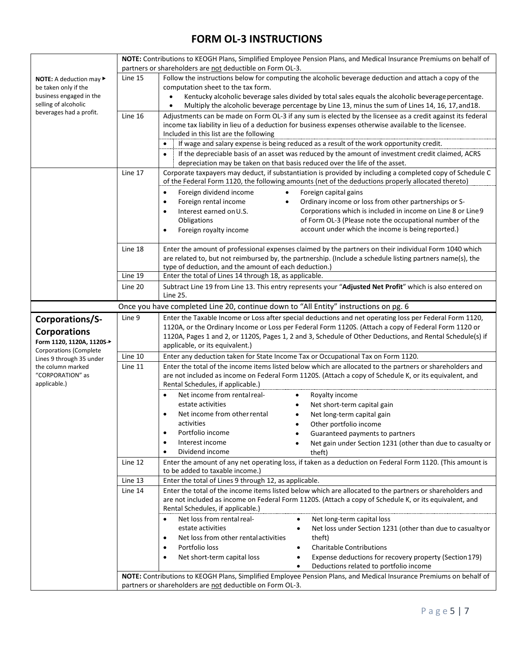|                                                           | NOTE: Contributions to KEOGH Plans, Simplified Employee Pension Plans, and Medical Insurance Premiums on behalf of<br>partners or shareholders are not deductible on Form OL-3. |                                                                                                                                                                                                                      |  |  |  |  |
|-----------------------------------------------------------|---------------------------------------------------------------------------------------------------------------------------------------------------------------------------------|----------------------------------------------------------------------------------------------------------------------------------------------------------------------------------------------------------------------|--|--|--|--|
| NOTE: A deduction may ▶                                   | Line 15                                                                                                                                                                         | Follow the instructions below for computing the alcoholic beverage deduction and attach a copy of the                                                                                                                |  |  |  |  |
| be taken only if the                                      |                                                                                                                                                                                 | computation sheet to the tax form.                                                                                                                                                                                   |  |  |  |  |
| business engaged in the                                   |                                                                                                                                                                                 | Kentucky alcoholic beverage sales divided by total sales equals the alcoholic beverage percentage.<br>$\bullet$                                                                                                      |  |  |  |  |
| selling of alcoholic<br>beverages had a profit.           |                                                                                                                                                                                 | Multiply the alcoholic beverage percentage by Line 13, minus the sum of Lines 14, 16, 17, and 18.<br>$\bullet$                                                                                                       |  |  |  |  |
|                                                           | Line 16                                                                                                                                                                         | Adjustments can be made on Form OL-3 if any sum is elected by the licensee as a credit against its federal<br>income tax liability in lieu of a deduction for business expenses otherwise available to the licensee. |  |  |  |  |
|                                                           |                                                                                                                                                                                 | Included in this list are the following                                                                                                                                                                              |  |  |  |  |
|                                                           |                                                                                                                                                                                 | If wage and salary expense is being reduced as a result of the work opportunity credit.<br>$\bullet$                                                                                                                 |  |  |  |  |
|                                                           |                                                                                                                                                                                 | If the depreciable basis of an asset was reduced by the amount of investment credit claimed, ACRS<br>$\bullet$                                                                                                       |  |  |  |  |
|                                                           |                                                                                                                                                                                 | depreciation may be taken on that basis reduced over the life of the asset.                                                                                                                                          |  |  |  |  |
|                                                           | Line 17                                                                                                                                                                         | Corporate taxpayers may deduct, if substantiation is provided by including a completed copy of Schedule C<br>of the Federal Form 1120, the following amounts (net of the deductions properly allocated thereto)      |  |  |  |  |
|                                                           |                                                                                                                                                                                 | Foreign capital gains<br>Foreign dividend income<br>$\bullet$<br>$\bullet$                                                                                                                                           |  |  |  |  |
|                                                           |                                                                                                                                                                                 | Foreign rental income<br>Ordinary income or loss from other partnerships or S-<br>$\bullet$<br>$\bullet$<br>Corporations which is included in income on Line 8 or Line 9<br>Interest earned on U.S.<br>$\bullet$     |  |  |  |  |
|                                                           |                                                                                                                                                                                 | of Form OL-3 (Please note the occupational number of the<br>Obligations                                                                                                                                              |  |  |  |  |
|                                                           |                                                                                                                                                                                 | account under which the income is being reported.)<br>Foreign royalty income<br>$\bullet$                                                                                                                            |  |  |  |  |
|                                                           |                                                                                                                                                                                 |                                                                                                                                                                                                                      |  |  |  |  |
|                                                           | Line 18                                                                                                                                                                         | Enter the amount of professional expenses claimed by the partners on their individual Form 1040 which                                                                                                                |  |  |  |  |
|                                                           |                                                                                                                                                                                 | are related to, but not reimbursed by, the partnership. (Include a schedule listing partners name(s), the                                                                                                            |  |  |  |  |
|                                                           | Line 19                                                                                                                                                                         | type of deduction, and the amount of each deduction.)<br>Enter the total of Lines 14 through 18, as applicable.                                                                                                      |  |  |  |  |
|                                                           | Line 20                                                                                                                                                                         | Subtract Line 19 from Line 13. This entry represents your "Adjusted Net Profit" which is also entered on                                                                                                             |  |  |  |  |
|                                                           |                                                                                                                                                                                 | Line 25.                                                                                                                                                                                                             |  |  |  |  |
|                                                           |                                                                                                                                                                                 | Once you have completed Line 20, continue down to "All Entity" instructions on pg. 6                                                                                                                                 |  |  |  |  |
| Corporations/S-                                           | Line 9                                                                                                                                                                          | Enter the Taxable Income or Loss after special deductions and net operating loss per Federal Form 1120,<br>1120A, or the Ordinary Income or Loss per Federal Form 1120S. (Attach a copy of Federal Form 1120 or      |  |  |  |  |
| <b>Corporations</b>                                       |                                                                                                                                                                                 | 1120A, Pages 1 and 2, or 1120S, Pages 1, 2 and 3, Schedule of Other Deductions, and Rental Schedule(s) if                                                                                                            |  |  |  |  |
| Form 1120, 1120A, 1120S-                                  |                                                                                                                                                                                 | applicable, or its equivalent.)                                                                                                                                                                                      |  |  |  |  |
| <b>Corporations (Complete</b><br>Lines 9 through 35 under | Line 10                                                                                                                                                                         | Enter any deduction taken for State Income Tax or Occupational Tax on Form 1120.                                                                                                                                     |  |  |  |  |
| the column marked                                         | Line 11                                                                                                                                                                         | Enter the total of the income items listed below which are allocated to the partners or shareholders and                                                                                                             |  |  |  |  |
| "CORPORATION" as<br>applicable.)                          |                                                                                                                                                                                 | are not included as income on Federal Form 1120S. (Attach a copy of Schedule K, or its equivalent, and<br>Rental Schedules, if applicable.)                                                                          |  |  |  |  |
|                                                           |                                                                                                                                                                                 | Net income from rental real-<br>Royalty income<br>$\bullet$<br>$\bullet$                                                                                                                                             |  |  |  |  |
|                                                           |                                                                                                                                                                                 | estate activities<br>Net short-term capital gain                                                                                                                                                                     |  |  |  |  |
|                                                           |                                                                                                                                                                                 | Net income from other rental<br>$\bullet$<br>Net long-term capital gain                                                                                                                                              |  |  |  |  |
|                                                           |                                                                                                                                                                                 | activities<br>Other portfolio income<br>Portfolio income<br>$\bullet$<br>Guaranteed payments to partners                                                                                                             |  |  |  |  |
|                                                           |                                                                                                                                                                                 | Interest income<br>Net gain under Section 1231 (other than due to casualty or<br>$\bullet$                                                                                                                           |  |  |  |  |
|                                                           |                                                                                                                                                                                 | Dividend income<br>theft)<br>٠                                                                                                                                                                                       |  |  |  |  |
|                                                           | Line 12                                                                                                                                                                         | Enter the amount of any net operating loss, if taken as a deduction on Federal Form 1120. (This amount is<br>to be added to taxable income.)                                                                         |  |  |  |  |
|                                                           | Line 13                                                                                                                                                                         | Enter the total of Lines 9 through 12, as applicable.                                                                                                                                                                |  |  |  |  |
|                                                           | Line 14                                                                                                                                                                         | Enter the total of the income items listed below which are allocated to the partners or shareholders and                                                                                                             |  |  |  |  |
|                                                           |                                                                                                                                                                                 | are not included as income on Federal Form 1120S. (Attach a copy of Schedule K, or its equivalent, and<br>Rental Schedules, if applicable.)                                                                          |  |  |  |  |
|                                                           |                                                                                                                                                                                 | Net loss from rental real-<br>Net long-term capital loss<br>$\bullet$<br>$\bullet$                                                                                                                                   |  |  |  |  |
|                                                           |                                                                                                                                                                                 | estate activities<br>Net loss under Section 1231 (other than due to casualty or                                                                                                                                      |  |  |  |  |
|                                                           |                                                                                                                                                                                 | Net loss from other rental activities<br>theft)<br>$\bullet$<br>Portfolio loss<br><b>Charitable Contributions</b><br>٠                                                                                               |  |  |  |  |
|                                                           |                                                                                                                                                                                 | Expense deductions for recovery property (Section 179)<br>Net short-term capital loss<br>$\bullet$                                                                                                                   |  |  |  |  |
|                                                           |                                                                                                                                                                                 | Deductions related to portfolio income                                                                                                                                                                               |  |  |  |  |
|                                                           |                                                                                                                                                                                 | NOTE: Contributions to KEOGH Plans, Simplified Employee Pension Plans, and Medical Insurance Premiums on behalf of                                                                                                   |  |  |  |  |
|                                                           | partners or shareholders are not deductible on Form OL-3.                                                                                                                       |                                                                                                                                                                                                                      |  |  |  |  |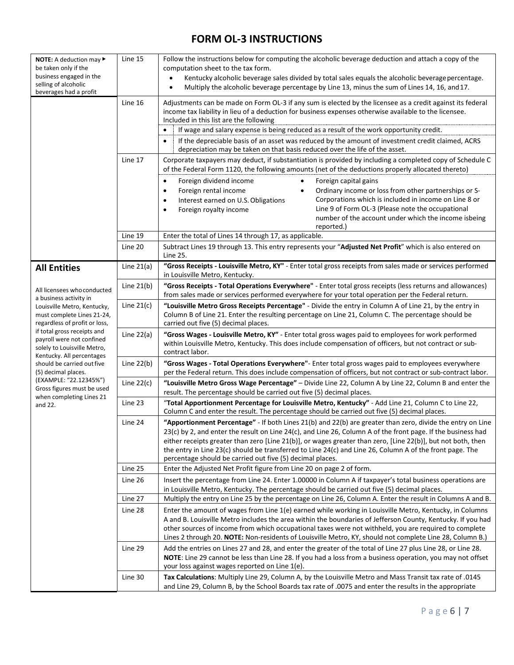| <b>NOTE:</b> A deduction may $\blacktriangleright$                                                                   | Line 15      | Follow the instructions below for computing the alcoholic beverage deduction and attach a copy of the                                                                                                                                                                                                                                                                                                                                                                                                               |  |  |  |  |
|----------------------------------------------------------------------------------------------------------------------|--------------|---------------------------------------------------------------------------------------------------------------------------------------------------------------------------------------------------------------------------------------------------------------------------------------------------------------------------------------------------------------------------------------------------------------------------------------------------------------------------------------------------------------------|--|--|--|--|
| be taken only if the<br>business engaged in the                                                                      |              | computation sheet to the tax form.                                                                                                                                                                                                                                                                                                                                                                                                                                                                                  |  |  |  |  |
| selling of alcoholic                                                                                                 |              | Kentucky alcoholic beverage sales divided by total sales equals the alcoholic beverage percentage.<br>$\bullet$                                                                                                                                                                                                                                                                                                                                                                                                     |  |  |  |  |
| beverages had a profit                                                                                               |              | Multiply the alcoholic beverage percentage by Line 13, minus the sum of Lines 14, 16, and 17.<br>$\bullet$                                                                                                                                                                                                                                                                                                                                                                                                          |  |  |  |  |
|                                                                                                                      | Line 16      | Adjustments can be made on Form OL-3 if any sum is elected by the licensee as a credit against its federal<br>income tax liability in lieu of a deduction for business expenses otherwise available to the licensee.<br>Included in this list are the following<br>If wage and salary expense is being reduced as a result of the work opportunity credit.<br>$\bullet$                                                                                                                                             |  |  |  |  |
|                                                                                                                      |              | If the depreciable basis of an asset was reduced by the amount of investment credit claimed, ACRS<br>$\bullet$                                                                                                                                                                                                                                                                                                                                                                                                      |  |  |  |  |
|                                                                                                                      |              | depreciation may be taken on that basis reduced over the life of the asset.                                                                                                                                                                                                                                                                                                                                                                                                                                         |  |  |  |  |
|                                                                                                                      | Line 17      | Corporate taxpayers may deduct, if substantiation is provided by including a completed copy of Schedule C<br>of the Federal Form 1120, the following amounts (net of the deductions properly allocated thereto)                                                                                                                                                                                                                                                                                                     |  |  |  |  |
|                                                                                                                      |              | Foreign capital gains<br>Foreign dividend income<br>$\bullet$<br>$\bullet$<br>Ordinary income or loss from other partnerships or S-<br>Foreign rental income<br>$\bullet$<br>$\bullet$<br>Corporations which is included in income on Line 8 or<br>Interest earned on U.S. Obligations<br>$\bullet$<br>Line 9 of Form OL-3 (Please note the occupational<br>Foreign royalty income<br>$\bullet$<br>number of the account under which the income isbeing<br>reported.)                                               |  |  |  |  |
|                                                                                                                      | Line 19      | Enter the total of Lines 14 through 17, as applicable.                                                                                                                                                                                                                                                                                                                                                                                                                                                              |  |  |  |  |
|                                                                                                                      | Line 20      | Subtract Lines 19 through 13. This entry represents your "Adjusted Net Profit" which is also entered on<br>Line 25.                                                                                                                                                                                                                                                                                                                                                                                                 |  |  |  |  |
| <b>All Entities</b>                                                                                                  | Line $21(a)$ | "Gross Receipts - Louisville Metro, KY" - Enter total gross receipts from sales made or services performed<br>in Louisville Metro, Kentucky.                                                                                                                                                                                                                                                                                                                                                                        |  |  |  |  |
| All licensees who conducted<br>a business activity in                                                                | Line $21(b)$ | "Gross Receipts - Total Operations Everywhere" - Enter total gross receipts (less returns and allowances)<br>from sales made or services performed everywhere for your total operation per the Federal return.                                                                                                                                                                                                                                                                                                      |  |  |  |  |
| Louisville Metro, Kentucky,<br>must complete Lines 21-24,<br>regardless of profit or loss,                           | Line $21(c)$ | "Louisville Metro Gross Receipts Percentage" - Divide the entry in Column A of Line 21, by the entry in<br>Column B of Line 21. Enter the resulting percentage on Line 21, Column C. The percentage should be<br>carried out five (5) decimal places.                                                                                                                                                                                                                                                               |  |  |  |  |
| if total gross receipts and<br>payroll were not confined<br>solely to Louisville Metro,<br>Kentucky. All percentages | Line $22(a)$ | "Gross Wages - Louisville Metro, KY" - Enter total gross wages paid to employees for work performed<br>within Louisville Metro, Kentucky. This does include compensation of officers, but not contract or sub-<br>contract labor.                                                                                                                                                                                                                                                                                   |  |  |  |  |
| should be carried out five<br>(5) decimal places.                                                                    | Line $22(b)$ | "Gross Wages - Total Operations Everywhere" - Enter total gross wages paid to employees everywhere<br>per the Federal return. This does include compensation of officers, but not contract or sub-contract labor.                                                                                                                                                                                                                                                                                                   |  |  |  |  |
| (EXAMPLE: "22.12345%")<br>Gross figures must be used                                                                 | Line $22(c)$ | "Louisville Metro Gross Wage Percentage" - Divide Line 22, Column A by Line 22, Column B and enter the<br>result. The percentage should be carried out five (5) decimal places.                                                                                                                                                                                                                                                                                                                                     |  |  |  |  |
| when completing Lines 21<br>and 22.                                                                                  | Line 23      | "Total Apportionment Percentage for Louisville Metro, Kentucky" - Add Line 21, Column C to Line 22,<br>Column C and enter the result. The percentage should be carried out five (5) decimal places.                                                                                                                                                                                                                                                                                                                 |  |  |  |  |
|                                                                                                                      | Line 24      | "Apportionment Percentage" - If both Lines 21(b) and 22(b) are greater than zero, divide the entry on Line<br>23(c) by 2, and enter the result on Line 24(c), and Line 26, Column A of the front page. If the business had<br>either receipts greater than zero [Line 21(b)], or wages greater than zero, [Line 22(b)], but not both, then<br>the entry in Line 23(c) should be transferred to Line 24(c) and Line 26, Column A of the front page. The<br>percentage should be carried out five (5) decimal places. |  |  |  |  |
|                                                                                                                      | Line 25      | Enter the Adjusted Net Profit figure from Line 20 on page 2 of form.                                                                                                                                                                                                                                                                                                                                                                                                                                                |  |  |  |  |
|                                                                                                                      | Line 26      | Insert the percentage from Line 24. Enter 1.00000 in Column A if taxpayer's total business operations are<br>in Louisville Metro, Kentucky. The percentage should be carried out five (5) decimal places.                                                                                                                                                                                                                                                                                                           |  |  |  |  |
|                                                                                                                      | Line 27      | Multiply the entry on Line 25 by the percentage on Line 26, Column A. Enter the result in Columns A and B.                                                                                                                                                                                                                                                                                                                                                                                                          |  |  |  |  |
|                                                                                                                      | Line 28      | Enter the amount of wages from Line 1(e) earned while working in Louisville Metro, Kentucky, in Columns<br>A and B. Louisville Metro includes the area within the boundaries of Jefferson County, Kentucky. If you had<br>other sources of income from which occupational taxes were not withheld, you are required to complete<br>Lines 2 through 20. NOTE: Non-residents of Louisville Metro, KY, should not complete Line 28, Column B.)                                                                         |  |  |  |  |
|                                                                                                                      | Line 29      | Add the entries on Lines 27 and 28, and enter the greater of the total of Line 27 plus Line 28, or Line 28.<br>NOTE: Line 29 cannot be less than Line 28. If you had a loss from a business operation, you may not offset<br>your loss against wages reported on Line 1(e).                                                                                                                                                                                                                                         |  |  |  |  |
|                                                                                                                      | Line 30      | Tax Calculations: Multiply Line 29, Column A, by the Louisville Metro and Mass Transit tax rate of .0145<br>and Line 29, Column B, by the School Boards tax rate of .0075 and enter the results in the appropriate                                                                                                                                                                                                                                                                                                  |  |  |  |  |